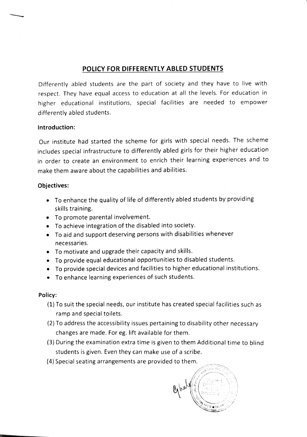## POLICY FOR DIFFERENTLY ABLED STUDENTS

Differently abled students are the part of society and they have to live with respect. They have equal access to education at all the levels. For education in higher educational institutions, special facilities are needed to empower differently abled students.

## Introduction:

Our institute had started the scheme for girls with special needs. The scheme includes special infrastructure to differently abled girls for their higher education in order to create an environment to enrich their learning experiences and to make them aware about the capabilities and abilities.

## Objectives:

- To enhance the quality of life of differently abled students by providing skills training.
- To promote parental involvement.
- To achieve integration of the disabled into society.
- .To aid and support deserving persons with disabilities whenever necessaries.
- To motivate and upgrade their capacity and skills.
- To provide equal educational opportunities to disabled students.
- To provide special devices and facilities to higher educational institutions.
- To enhance learning experiences of such students.

## Policy:

- (1) To suit the special needs, our institute has created special facilities such as ramp and special toilets.
- (2) To address the accessibility issues pertaining to disability other necessary changes are made. For eg. lift available for them.
- (3) During the examination extra time is given to them Additional time to blind students is given. Even they can make use of a scribe.
- (4) Special seating arrangements are provided to them.